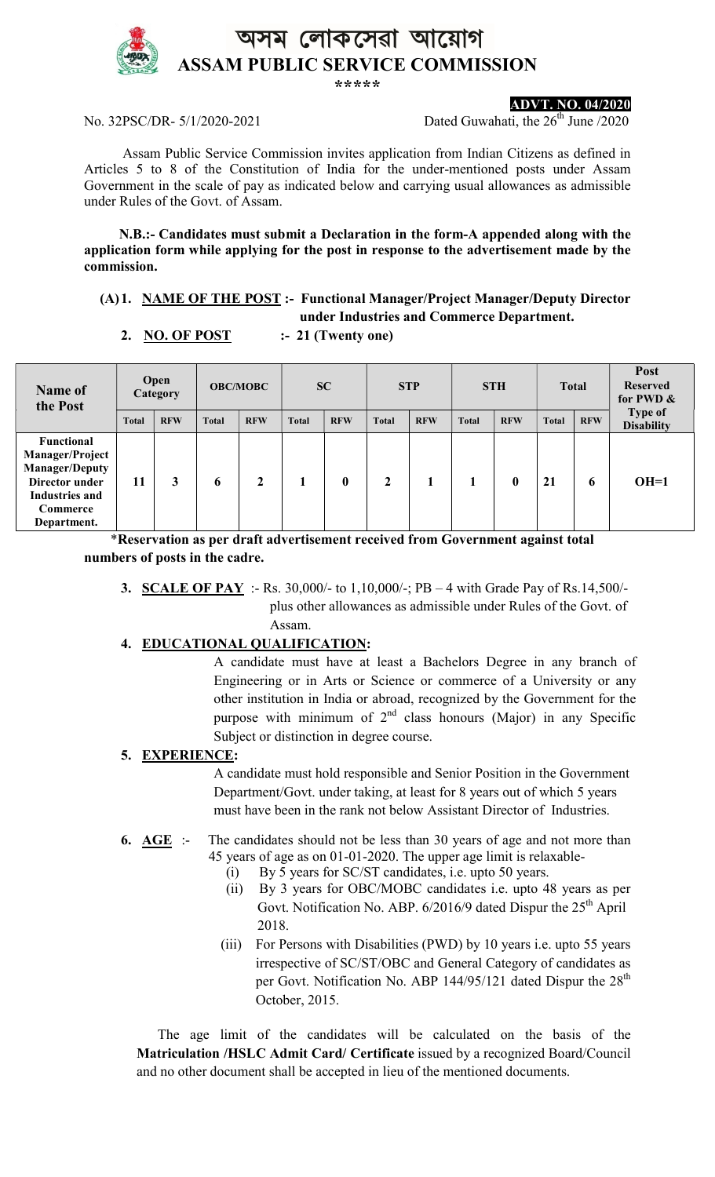

ASSAM PUBLIC SERVICE COMMISSION

\*\*\*\*\*



ADVT. NO. 04/2020

No. 32PSC/DR-  $5/1/2020-2021$  Dated Guwahati, the  $26<sup>th</sup>$  June /2020

 Assam Public Service Commission invites application from Indian Citizens as defined in Articles 5 to 8 of the Constitution of India for the under-mentioned posts under Assam Government in the scale of pay as indicated below and carrying usual allowances as admissible under Rules of the Govt. of Assam.

 N.B.:- Candidates must submit a Declaration in the form-A appended along with the application form while applying for the post in response to the advertisement made by the commission.

## (A)1. NAME OF THE POST :- Functional Manager/Project Manager/Deputy Director under Industries and Commerce Department.

# 2. NO. OF POST  $\qquad \qquad$  :- 21 (Twenty one)

| Open<br>Name of<br>Category<br>the Post                                                                                      |              |            | <b>OBC/MOBC</b> |            | SC           |            | <b>STP</b>   |            | <b>STH</b>   |            | <b>Total</b> |            | Post<br><b>Reserved</b><br>for PWD & |  |
|------------------------------------------------------------------------------------------------------------------------------|--------------|------------|-----------------|------------|--------------|------------|--------------|------------|--------------|------------|--------------|------------|--------------------------------------|--|
|                                                                                                                              | <b>Total</b> | <b>RFW</b> | <b>Total</b>    | <b>RFW</b> | <b>Total</b> | <b>RFW</b> | <b>Total</b> | <b>RFW</b> | <b>Total</b> | <b>RFW</b> | <b>Total</b> | <b>RFW</b> | Type of<br><b>Disability</b>         |  |
| <b>Functional</b><br>Manager/Project<br><b>Manager/Deputy</b><br>Director under<br>Industries and<br>Commerce<br>Department. | 11           |            | 6               | 2          |              | 0          | 2            |            |              | 0          | 21           | 6          | $OH=1$                               |  |

 \*Reservation as per draft advertisement received from Government against total numbers of posts in the cadre.

3. SCALE OF PAY :- Rs. 30,000/- to 1,10,000/-; PB – 4 with Grade Pay of Rs.14,500/ plus other allowances as admissible under Rules of the Govt. of Assam.

## 4. EDUCATIONAL QUALIFICATION:

 A candidate must have at least a Bachelors Degree in any branch of Engineering or in Arts or Science or commerce of a University or any other institution in India or abroad, recognized by the Government for the purpose with minimum of  $2<sup>nd</sup>$  class honours (Major) in any Specific Subject or distinction in degree course.

## 5. EXPERIENCE:

 A candidate must hold responsible and Senior Position in the Government Department/Govt. under taking, at least for 8 years out of which 5 years must have been in the rank not below Assistant Director of Industries.

### 6.  $\overline{AGE}$  :- The candidates should not be less than 30 years of age and not more than 45 years of age as on 01-01-2020. The upper age limit is relaxable-

- (i) By 5 years for SC/ST candidates, i.e. upto 50 years.
- (ii) By 3 years for OBC/MOBC candidates i.e. upto 48 years as per Govt. Notification No. ABP.  $6/2016/9$  dated Dispur the  $25<sup>th</sup>$  April 2018.
- (iii) For Persons with Disabilities (PWD) by 10 years i.e. upto 55 years irrespective of SC/ST/OBC and General Category of candidates as per Govt. Notification No. ABP 144/95/121 dated Dispur the 28<sup>th</sup> October, 2015.

 The age limit of the candidates will be calculated on the basis of the Matriculation /HSLC Admit Card/ Certificate issued by a recognized Board/Council and no other document shall be accepted in lieu of the mentioned documents.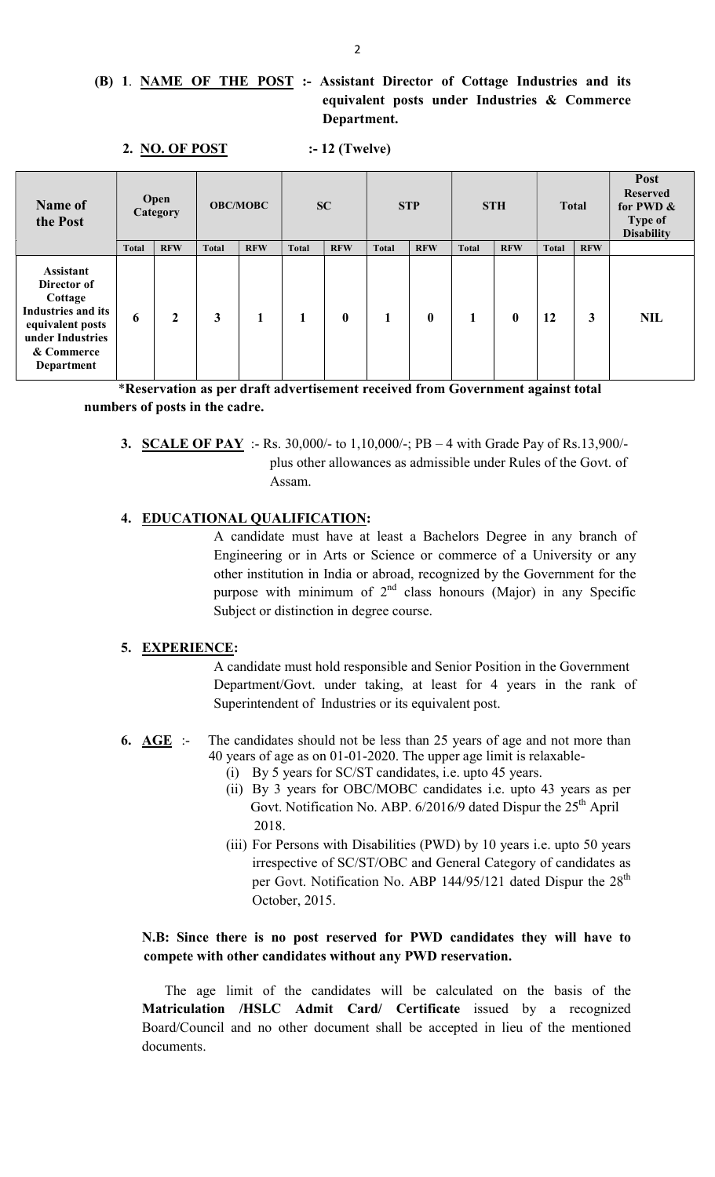## (B) 1. NAME OF THE POST :- Assistant Director of Cottage Industries and its equivalent posts under Industries & Commerce Department.

| Name of<br>the Post                                                                                                                         |              | <b>Open</b><br>Category | <b>OBC/MOBC</b> |            | <b>SC</b>    |            | <b>STP</b>   |                  | <b>STH</b>   |            | <b>Total</b> |            | Post<br><b>Reserved</b><br>for PWD &<br>Type of<br><b>Disability</b> |
|---------------------------------------------------------------------------------------------------------------------------------------------|--------------|-------------------------|-----------------|------------|--------------|------------|--------------|------------------|--------------|------------|--------------|------------|----------------------------------------------------------------------|
|                                                                                                                                             | <b>Total</b> | <b>RFW</b>              | <b>Total</b>    | <b>RFW</b> | <b>Total</b> | <b>RFW</b> | <b>Total</b> | <b>RFW</b>       | <b>Total</b> | <b>RFW</b> | <b>Total</b> | <b>RFW</b> |                                                                      |
| <b>Assistant</b><br>Director of<br>Cottage<br><b>Industries and its</b><br>equivalent posts<br>under Industries<br>& Commerce<br>Department | 6            | 2                       | 3               | 1          |              | $\bf{0}$   |              | $\boldsymbol{0}$ | $\mathbf{1}$ | $\bf{0}$   | 12           | 3          | <b>NIL</b>                                                           |

 \*Reservation as per draft advertisement received from Government against total numbers of posts in the cadre.

3. SCALE OF PAY :- Rs. 30,000/- to 1,10,000/-; PB – 4 with Grade Pay of Rs.13,900/ plus other allowances as admissible under Rules of the Govt. of Assam.

## 4. EDUCATIONAL QUALIFICATION:

 A candidate must have at least a Bachelors Degree in any branch of Engineering or in Arts or Science or commerce of a University or any other institution in India or abroad, recognized by the Government for the purpose with minimum of  $2<sup>nd</sup>$  class honours (Major) in any Specific Subject or distinction in degree course.

#### 5. EXPERIENCE:

 A candidate must hold responsible and Senior Position in the Government Department/Govt. under taking, at least for 4 years in the rank of Superintendent of Industries or its equivalent post.

- 6. AGE :- The candidates should not be less than 25 years of age and not more than 40 years of age as on 01-01-2020. The upper age limit is relaxable-
	- (i) By 5 years for SC/ST candidates, i.e. upto 45 years.
	- (ii) By 3 years for OBC/MOBC candidates i.e. upto 43 years as per Govt. Notification No. ABP.  $6/2016/9$  dated Dispur the  $25<sup>th</sup>$  April 2018.
	- (iii) For Persons with Disabilities (PWD) by 10 years i.e. upto 50 years irrespective of SC/ST/OBC and General Category of candidates as per Govt. Notification No. ABP 144/95/121 dated Dispur the  $28<sup>th</sup>$ October, 2015.

## N.B: Since there is no post reserved for PWD candidates they will have to compete with other candidates without any PWD reservation.

 The age limit of the candidates will be calculated on the basis of the Matriculation /HSLC Admit Card/ Certificate issued by a recognized Board/Council and no other document shall be accepted in lieu of the mentioned documents.

2. NO. OF POST :-12 (Twelve)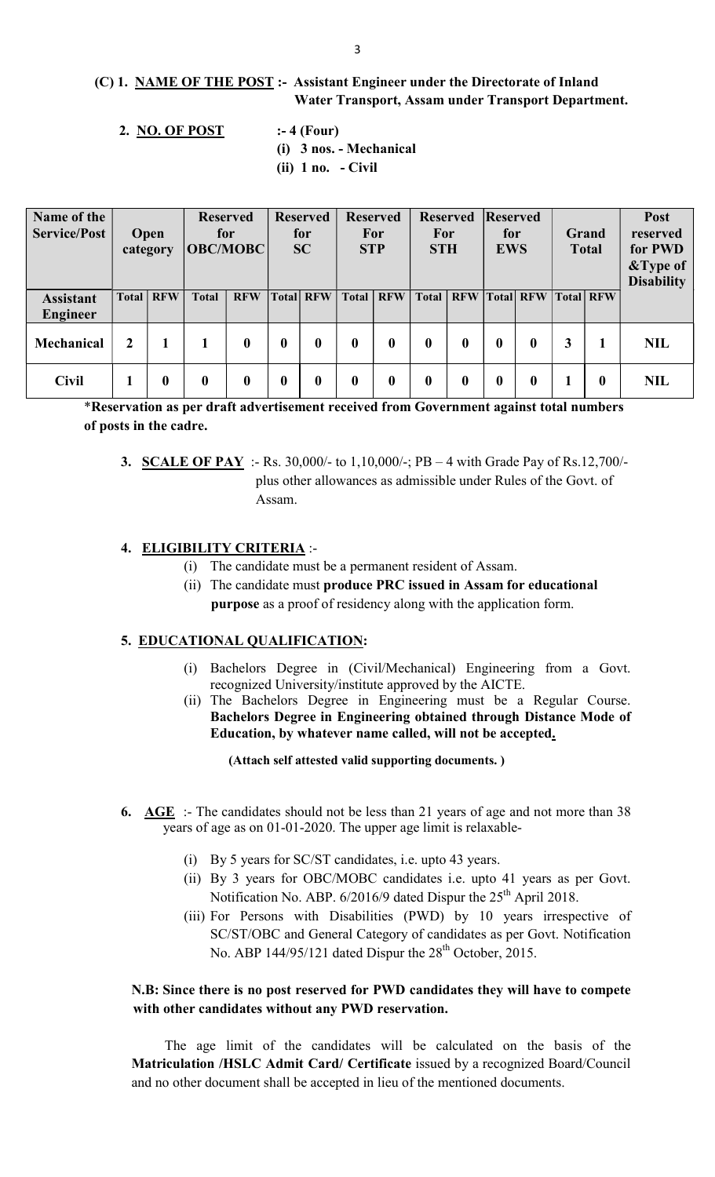## (C) 1. NAME OF THE POST :- Assistant Engineer under the Directorate of Inland Water Transport, Assam under Transport Department.

- 2. NO. OF POST :-4 (Four)
	-
	- (i) 3 nos. Mechanical
	- (ii) 1 no. Civil

| Name of the<br><b>Service/Post</b>  |              | <b>Open</b><br>category | <b>Reserved</b><br>for<br><b>OBC/MOBC</b> |                  | <b>Reserved</b><br>for<br><b>SC</b> |                  | <b>Reserved</b><br>For<br><b>STP</b> |            | <b>Reserved</b><br>For<br><b>STH</b> |                  | Reserved<br>for<br><b>EWS</b> |                           | Grand<br><b>Total</b> |                  | Post<br>reserved<br>for PWD<br>&Type of<br><b>Disability</b> |
|-------------------------------------|--------------|-------------------------|-------------------------------------------|------------------|-------------------------------------|------------------|--------------------------------------|------------|--------------------------------------|------------------|-------------------------------|---------------------------|-----------------------|------------------|--------------------------------------------------------------|
| <b>Assistant</b><br><b>Engineer</b> |              | <b>Total   RFW</b>      | <b>Total</b>                              | <b>RFW</b>       |                                     | <b>Total RFW</b> | Total                                | <b>RFW</b> |                                      |                  |                               | Total   RFW   Total   RFW |                       | <b>Total RFW</b> |                                                              |
| <b>Mechanical</b>                   | $\mathbf{2}$ |                         |                                           | $\boldsymbol{0}$ | 0                                   | $\bf{0}$         | $\mathbf{0}$                         | 0          | $\mathbf{0}$                         | $\boldsymbol{0}$ | $\boldsymbol{0}$              | 0                         | 3                     |                  | <b>NIL</b>                                                   |
| <b>Civil</b>                        |              | 0                       | $\bf{0}$                                  | $\boldsymbol{0}$ |                                     |                  | 0                                    |            | 0                                    |                  |                               |                           |                       | 0                | <b>NIL</b>                                                   |

\*Reservation as per draft advertisement received from Government against total numbers of posts in the cadre.

3. SCALE OF PAY :- Rs. 30,000/- to 1,10,000/-; PB – 4 with Grade Pay of Rs.12,700/ plus other allowances as admissible under Rules of the Govt. of Assam.

### 4. ELIGIBILITY CRITERIA :-

- (i) The candidate must be a permanent resident of Assam.
- (ii) The candidate must produce PRC issued in Assam for educational purpose as a proof of residency along with the application form.

#### 5. EDUCATIONAL QUALIFICATION:

- (i) Bachelors Degree in (Civil/Mechanical) Engineering from a Govt. recognized University/institute approved by the AICTE.
- (ii) The Bachelors Degree in Engineering must be a Regular Course. Bachelors Degree in Engineering obtained through Distance Mode of Education, by whatever name called, will not be accepted.

(Attach self attested valid supporting documents. )

- 6. AGE :- The candidates should not be less than 21 years of age and not more than  $38$  years of age as on 01-01-2020. The upper age limit is relaxable-
	- (i) By 5 years for SC/ST candidates, i.e. upto 43 years.
	- (ii) By 3 years for OBC/MOBC candidates i.e. upto 41 years as per Govt. Notification No. ABP. 6/2016/9 dated Dispur the 25<sup>th</sup> April 2018.
	- (iii) For Persons with Disabilities (PWD) by 10 years irrespective of SC/ST/OBC and General Category of candidates as per Govt. Notification No. ABP 144/95/121 dated Dispur the  $28<sup>th</sup>$  October, 2015.

### N.B: Since there is no post reserved for PWD candidates they will have to compete with other candidates without any PWD reservation.

 The age limit of the candidates will be calculated on the basis of the Matriculation /HSLC Admit Card/ Certificate issued by a recognized Board/Council and no other document shall be accepted in lieu of the mentioned documents.

3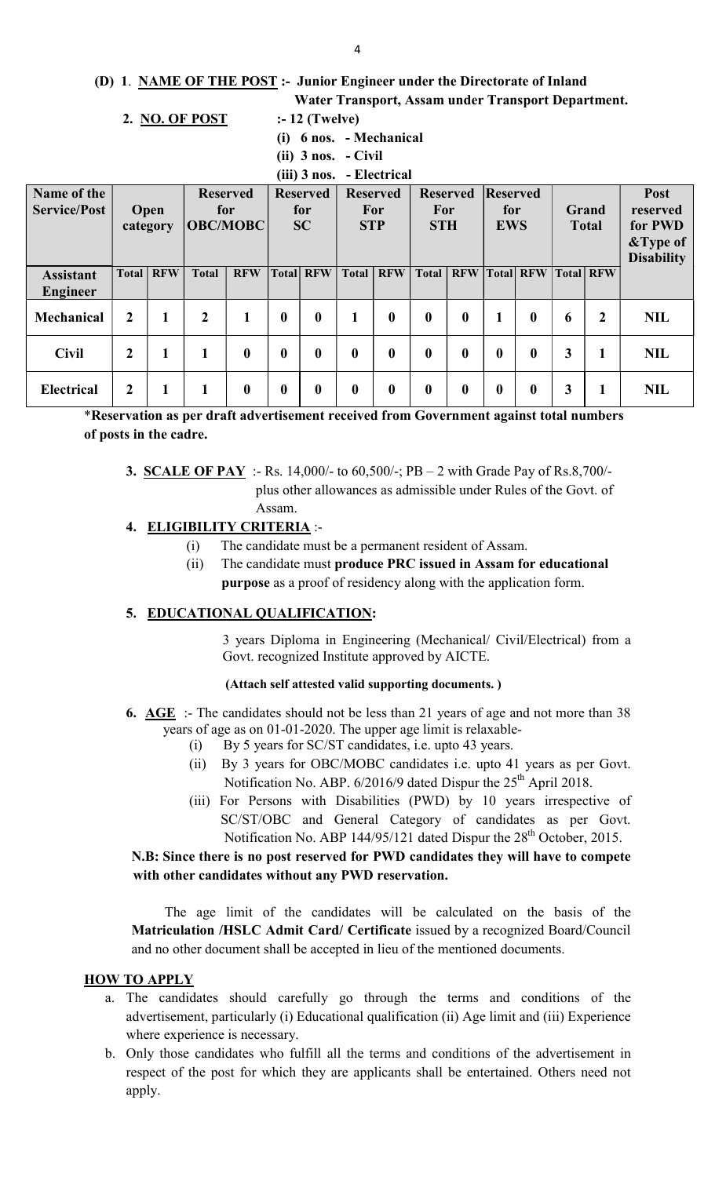#### (D) 1. NAME OF THE POST :- Junior Engineer under the Directorate of Inland

Water Transport, Assam under Transport Department.

#### 2. NO. OF POST  $\qquad \qquad$  :-12 (Twelve)

- (i) 6 nos. Mechanical
- (ii) 3 nos. Civil
- (iii) 3 nos. Electrical

| <i></i><br>-----------              |                |                         |                                           |                  |                                     |              |                                      |                  |                                      |                  |                               |            |                       |                  |                                                                     |
|-------------------------------------|----------------|-------------------------|-------------------------------------------|------------------|-------------------------------------|--------------|--------------------------------------|------------------|--------------------------------------|------------------|-------------------------------|------------|-----------------------|------------------|---------------------------------------------------------------------|
| Name of the<br><b>Service/Post</b>  |                | <b>Open</b><br>category | <b>Reserved</b><br>for<br><b>OBC/MOBC</b> |                  | <b>Reserved</b><br>for<br><b>SC</b> |              | <b>Reserved</b><br>For<br><b>STP</b> |                  | <b>Reserved</b><br>For<br><b>STH</b> |                  | Reserved<br>for<br><b>EWS</b> |            | Grand<br><b>Total</b> |                  | <b>Post</b><br>reserved<br>for PWD<br>&Type of<br><b>Disability</b> |
| <b>Assistant</b><br><b>Engineer</b> | Total          | <b>RFW</b>              | <b>Total</b>                              | <b>RFW</b>       | <b>Total</b>                        | <b>RFW</b>   | <b>Total</b>                         | <b>RFW</b>       | <b>Total</b>                         | <b>RFW</b>       | <b>Total</b>                  | <b>RFW</b> |                       | <b>Total RFW</b> |                                                                     |
| Mechanical                          | $\overline{2}$ |                         | $\overline{2}$                            |                  | $\bf{0}$                            | $\bf{0}$     |                                      | $\bf{0}$         | $\mathbf{0}$                         | $\bf{0}$         |                               | $\bf{0}$   | 6                     | $\boldsymbol{2}$ | <b>NIL</b>                                                          |
| <b>Civil</b>                        | $\overline{2}$ |                         | 1                                         | $\boldsymbol{0}$ | $\bf{0}$                            | $\mathbf{0}$ | $\mathbf{0}$                         | $\bf{0}$         | $\boldsymbol{0}$                     | $\bf{0}$         | $\boldsymbol{0}$              | $\bf{0}$   | 3                     |                  | <b>NIL</b>                                                          |
| <b>Electrical</b>                   | 2              |                         |                                           | $\boldsymbol{0}$ | $\bf{0}$                            | 0            | 0                                    | $\boldsymbol{0}$ | $\boldsymbol{0}$                     | $\boldsymbol{0}$ | $\bf{0}$                      | 0          |                       |                  | <b>NIL</b>                                                          |

\*Reservation as per draft advertisement received from Government against total numbers of posts in the cadre.

**3. SCALE OF PAY** :- Rs. 14,000/- to 60,500/-; PB – 2 with Grade Pay of Rs.8,700/ plus other allowances as admissible under Rules of the Govt. of Assam.

### 4. ELIGIBILITY CRITERIA :-

- (i) The candidate must be a permanent resident of Assam.
- (ii) The candidate must produce PRC issued in Assam for educational purpose as a proof of residency along with the application form.

#### 5. EDUCATIONAL QUALIFICATION:

 3 years Diploma in Engineering (Mechanical/ Civil/Electrical) from a Govt. recognized Institute approved by AICTE.

#### (Attach self attested valid supporting documents. )

- 6.  $\overline{\text{AGE}}$  :- The candidates should not be less than 21 years of age and not more than 38 years of age as on 01-01-2020. The upper age limit is relaxable-
	- (i) By 5 years for SC/ST candidates, i.e. upto 43 years.
	- (ii) By 3 years for OBC/MOBC candidates i.e. upto 41 years as per Govt. Notification No. ABP. 6/2016/9 dated Dispur the 25<sup>th</sup> April 2018.
	- (iii) For Persons with Disabilities (PWD) by 10 years irrespective of SC/ST/OBC and General Category of candidates as per Govt. Notification No. ABP 144/95/121 dated Dispur the 28<sup>th</sup> October, 2015.

## N.B: Since there is no post reserved for PWD candidates they will have to compete with other candidates without any PWD reservation.

 The age limit of the candidates will be calculated on the basis of the Matriculation /HSLC Admit Card/ Certificate issued by a recognized Board/Council and no other document shall be accepted in lieu of the mentioned documents.

#### HOW TO APPLY

- a. The candidates should carefully go through the terms and conditions of the advertisement, particularly (i) Educational qualification (ii) Age limit and (iii) Experience where experience is necessary.
- b. Only those candidates who fulfill all the terms and conditions of the advertisement in respect of the post for which they are applicants shall be entertained. Others need not apply.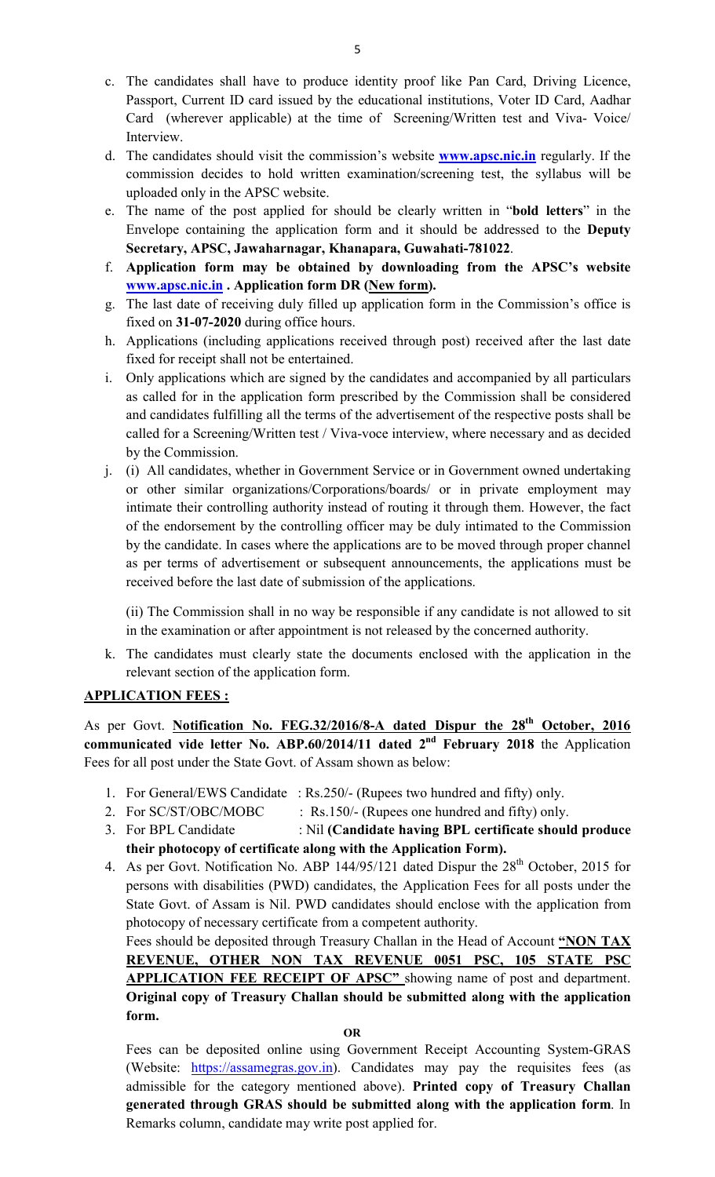- c. The candidates shall have to produce identity proof like Pan Card, Driving Licence, Passport, Current ID card issued by the educational institutions, Voter ID Card, Aadhar Card (wherever applicable) at the time of Screening/Written test and Viva- Voice/ Interview.
- d. The candidates should visit the commission's website **www.apsc.nic.in** regularly. If the commission decides to hold written examination/screening test, the syllabus will be uploaded only in the APSC website.
- e. The name of the post applied for should be clearly written in "bold letters" in the Envelope containing the application form and it should be addressed to the Deputy Secretary, APSC, Jawaharnagar, Khanapara, Guwahati-781022.
- f. Application form may be obtained by downloading from the APSC's website www.apsc.nic.in . Application form DR (New form).
- g. The last date of receiving duly filled up application form in the Commission's office is fixed on 31-07-2020 during office hours.
- h. Applications (including applications received through post) received after the last date fixed for receipt shall not be entertained.
- i. Only applications which are signed by the candidates and accompanied by all particulars as called for in the application form prescribed by the Commission shall be considered and candidates fulfilling all the terms of the advertisement of the respective posts shall be called for a Screening/Written test / Viva-voce interview, where necessary and as decided by the Commission.
- j. (i) All candidates, whether in Government Service or in Government owned undertaking or other similar organizations/Corporations/boards/ or in private employment may intimate their controlling authority instead of routing it through them. However, the fact of the endorsement by the controlling officer may be duly intimated to the Commission by the candidate. In cases where the applications are to be moved through proper channel as per terms of advertisement or subsequent announcements, the applications must be received before the last date of submission of the applications.

(ii) The Commission shall in no way be responsible if any candidate is not allowed to sit in the examination or after appointment is not released by the concerned authority.

k. The candidates must clearly state the documents enclosed with the application in the relevant section of the application form.

## APPLICATION FEES :

As per Govt. Notification No. FEG.32/2016/8-A dated Dispur the 28<sup>th</sup> October, 2016 communicated vide letter No. ABP.60/2014/11 dated  $2<sup>nd</sup>$  February 2018 the Application Fees for all post under the State Govt. of Assam shown as below:

- 1. For General/EWS Candidate : Rs.250/- (Rupees two hundred and fifty) only.
- 2. For SC/ST/OBC/MOBC : Rs.150/- (Rupees one hundred and fifty) only.
- 3. For BPL Candidate : Nil (Candidate having BPL certificate should produce their photocopy of certificate along with the Application Form).
- 4. As per Govt. Notification No. ABP  $144/95/121$  dated Dispur the  $28<sup>th</sup>$  October, 2015 for persons with disabilities (PWD) candidates, the Application Fees for all posts under the State Govt. of Assam is Nil. PWD candidates should enclose with the application from photocopy of necessary certificate from a competent authority.

Fees should be deposited through Treasury Challan in the Head of Account "NON TAX REVENUE, OTHER NON TAX REVENUE 0051 PSC, 105 STATE PSC APPLICATION FEE RECEIPT OF APSC" showing name of post and department. Original copy of Treasury Challan should be submitted along with the application form.

Fees can be deposited online using Government Receipt Accounting System-GRAS (Website: https://assamegras.gov.in). Candidates may pay the requisites fees (as admissible for the category mentioned above). Printed copy of Treasury Challan generated through GRAS should be submitted along with the application form. In Remarks column, candidate may write post applied for.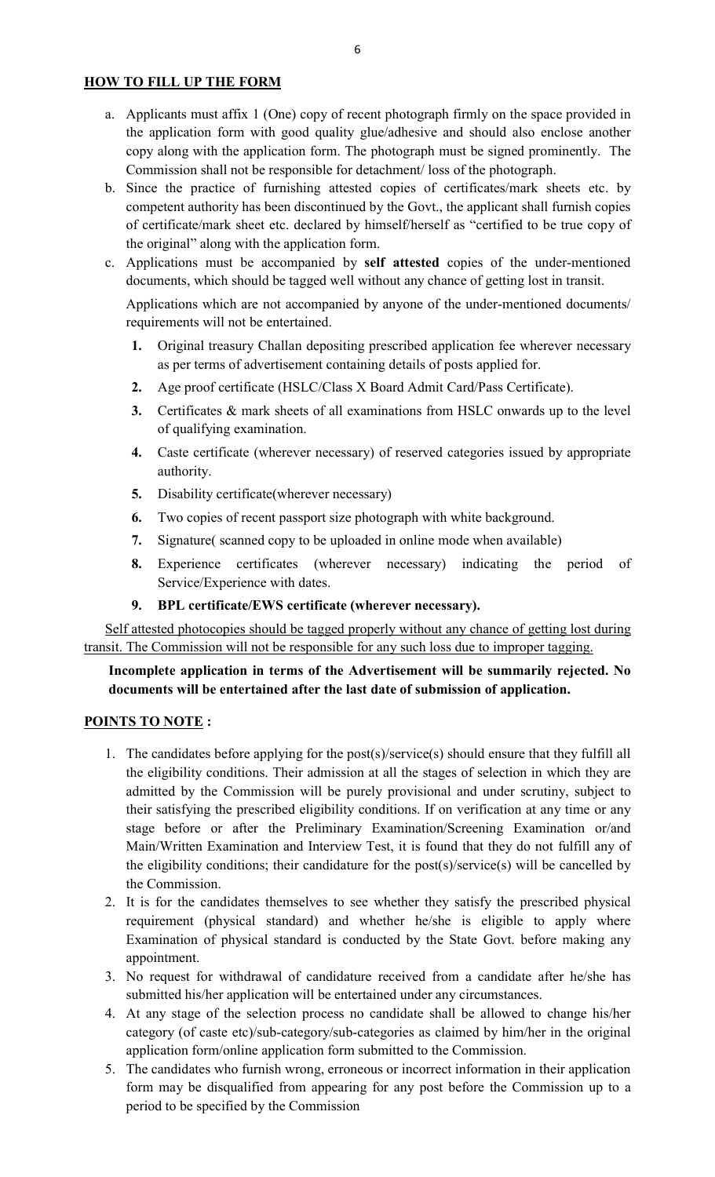### HOW TO FILL UP THE FORM

- a. Applicants must affix 1 (One) copy of recent photograph firmly on the space provided in the application form with good quality glue/adhesive and should also enclose another copy along with the application form. The photograph must be signed prominently. The Commission shall not be responsible for detachment/ loss of the photograph.
- b. Since the practice of furnishing attested copies of certificates/mark sheets etc. by competent authority has been discontinued by the Govt., the applicant shall furnish copies of certificate/mark sheet etc. declared by himself/herself as "certified to be true copy of the original" along with the application form.
- c. Applications must be accompanied by self attested copies of the under-mentioned documents, which should be tagged well without any chance of getting lost in transit.

Applications which are not accompanied by anyone of the under-mentioned documents/ requirements will not be entertained.

- 1. Original treasury Challan depositing prescribed application fee wherever necessary as per terms of advertisement containing details of posts applied for.
- 2. Age proof certificate (HSLC/Class X Board Admit Card/Pass Certificate).
- 3. Certificates & mark sheets of all examinations from HSLC onwards up to the level of qualifying examination.
- 4. Caste certificate (wherever necessary) of reserved categories issued by appropriate authority.
- 5. Disability certificate(wherever necessary)
- 6. Two copies of recent passport size photograph with white background.
- 7. Signature( scanned copy to be uploaded in online mode when available)
- 8. Experience certificates (wherever necessary) indicating the period of Service/Experience with dates.
- 9. BPL certificate/EWS certificate (wherever necessary).

Self attested photocopies should be tagged properly without any chance of getting lost during transit. The Commission will not be responsible for any such loss due to improper tagging.

## Incomplete application in terms of the Advertisement will be summarily rejected. No documents will be entertained after the last date of submission of application.

#### POINTS TO NOTE :

- 1. The candidates before applying for the post(s)/service(s) should ensure that they fulfill all the eligibility conditions. Their admission at all the stages of selection in which they are admitted by the Commission will be purely provisional and under scrutiny, subject to their satisfying the prescribed eligibility conditions. If on verification at any time or any stage before or after the Preliminary Examination/Screening Examination or/and Main/Written Examination and Interview Test, it is found that they do not fulfill any of the eligibility conditions; their candidature for the post(s)/service(s) will be cancelled by the Commission.
- 2. It is for the candidates themselves to see whether they satisfy the prescribed physical requirement (physical standard) and whether he/she is eligible to apply where Examination of physical standard is conducted by the State Govt. before making any appointment.
- 3. No request for withdrawal of candidature received from a candidate after he/she has submitted his/her application will be entertained under any circumstances.
- 4. At any stage of the selection process no candidate shall be allowed to change his/her category (of caste etc)/sub-category/sub-categories as claimed by him/her in the original application form/online application form submitted to the Commission.
- 5. The candidates who furnish wrong, erroneous or incorrect information in their application form may be disqualified from appearing for any post before the Commission up to a period to be specified by the Commission